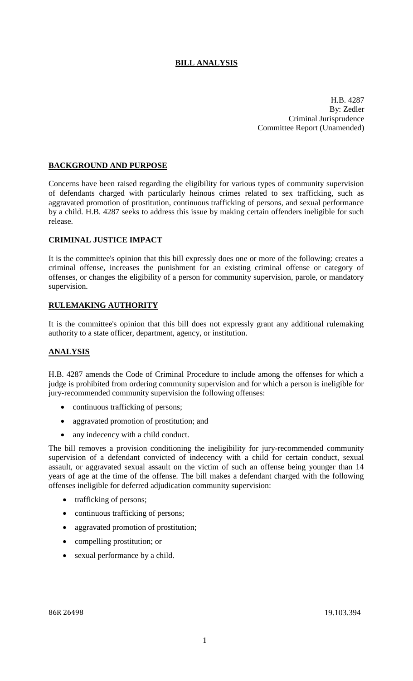## **BILL ANALYSIS**

H.B. 4287 By: Zedler Criminal Jurisprudence Committee Report (Unamended)

### **BACKGROUND AND PURPOSE**

Concerns have been raised regarding the eligibility for various types of community supervision of defendants charged with particularly heinous crimes related to sex trafficking, such as aggravated promotion of prostitution, continuous trafficking of persons, and sexual performance by a child. H.B. 4287 seeks to address this issue by making certain offenders ineligible for such release.

### **CRIMINAL JUSTICE IMPACT**

It is the committee's opinion that this bill expressly does one or more of the following: creates a criminal offense, increases the punishment for an existing criminal offense or category of offenses, or changes the eligibility of a person for community supervision, parole, or mandatory supervision.

### **RULEMAKING AUTHORITY**

It is the committee's opinion that this bill does not expressly grant any additional rulemaking authority to a state officer, department, agency, or institution.

### **ANALYSIS**

H.B. 4287 amends the Code of Criminal Procedure to include among the offenses for which a judge is prohibited from ordering community supervision and for which a person is ineligible for jury-recommended community supervision the following offenses:

- continuous trafficking of persons;
- aggravated promotion of prostitution; and
- any indecency with a child conduct.

The bill removes a provision conditioning the ineligibility for jury-recommended community supervision of a defendant convicted of indecency with a child for certain conduct, sexual assault, or aggravated sexual assault on the victim of such an offense being younger than 14 years of age at the time of the offense. The bill makes a defendant charged with the following offenses ineligible for deferred adjudication community supervision:

- trafficking of persons;
- continuous trafficking of persons;
- aggravated promotion of prostitution;
- compelling prostitution; or
- sexual performance by a child.